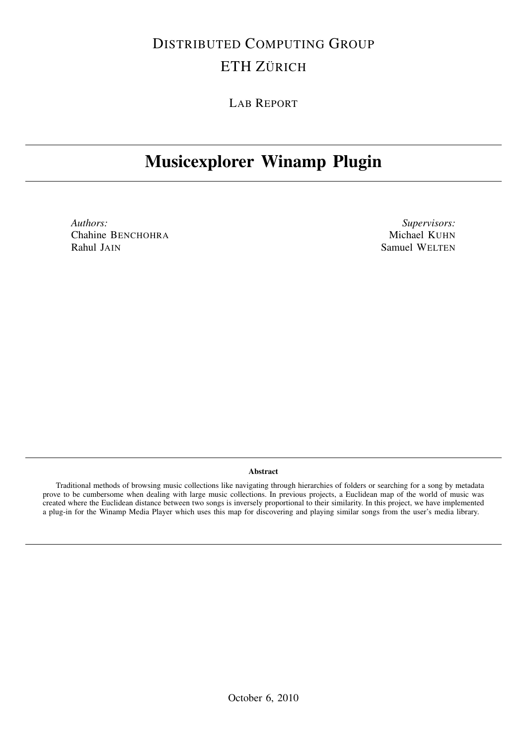# DISTRIBUTED COMPUTING GROUP ETH ZÜRICH

LAB REPORT

# Musicexplorer Winamp Plugin

*Authors:* Chahine BENCHOHRA Rahul JAIN

*Supervisors:* Michael KUHN Samuel WELTEN

## Abstract

Traditional methods of browsing music collections like navigating through hierarchies of folders or searching for a song by metadata prove to be cumbersome when dealing with large music collections. In previous projects, a Euclidean map of the world of music was created where the Euclidean distance between two songs is inversely proportional to their similarity. In this project, we have implemented a plug-in for the Winamp Media Player which uses this map for discovering and playing similar songs from the user's media library.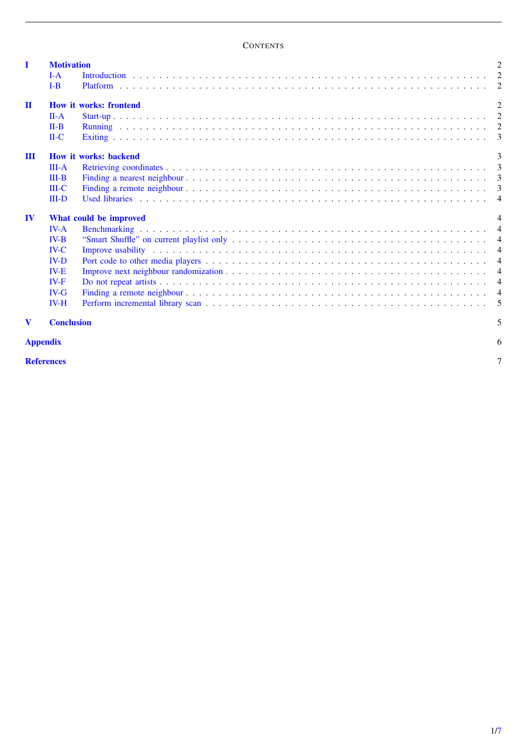# <span id="page-1-0"></span>**CONTENTS**

| $I-A$                        |  |                                                                         |  |  |
|------------------------------|--|-------------------------------------------------------------------------|--|--|
| $I-B$                        |  |                                                                         |  |  |
|                              |  | $\mathcal{D}_{\mathcal{L}}$                                             |  |  |
| $II-A$                       |  |                                                                         |  |  |
| $II-B$                       |  |                                                                         |  |  |
| $H-C$                        |  |                                                                         |  |  |
| <b>How it works: backend</b> |  |                                                                         |  |  |
| $III - A$                    |  |                                                                         |  |  |
| $III-B$                      |  |                                                                         |  |  |
| $III-C$                      |  |                                                                         |  |  |
| $III-D$                      |  |                                                                         |  |  |
| What could be improved       |  |                                                                         |  |  |
| $IV-A$                       |  |                                                                         |  |  |
| $IV-B$                       |  |                                                                         |  |  |
| $IV-C$                       |  |                                                                         |  |  |
| $IV-D$                       |  |                                                                         |  |  |
| $IV-E$                       |  |                                                                         |  |  |
| $IV-F$                       |  |                                                                         |  |  |
| $IV-G$                       |  |                                                                         |  |  |
| $IV-H$                       |  |                                                                         |  |  |
|                              |  | 5                                                                       |  |  |
| <b>Appendix</b>              |  |                                                                         |  |  |
|                              |  | <b>Motivation</b><br><b>How it works: frontend</b><br><b>Conclusion</b> |  |  |

**[References](#page-7-0)** to the contract of the contract of the contract of the contract of the contract of the contract of the contract of the contract of the contract of the contract of the contract of the contract of the contract o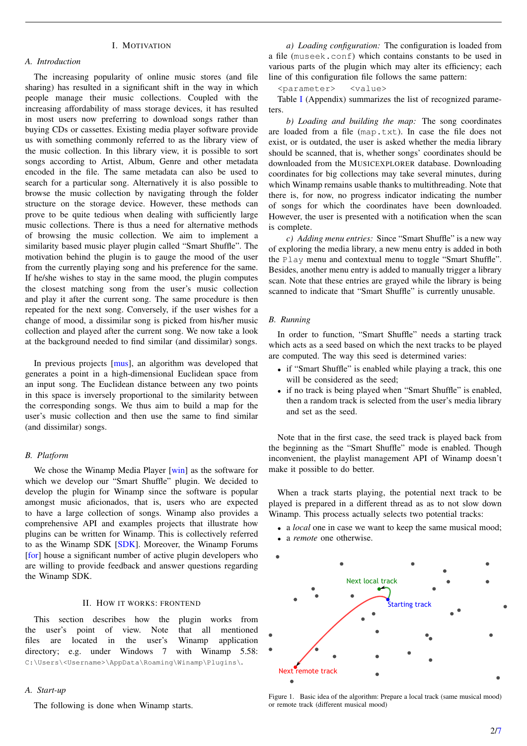# I. MOTIVATION

## *A. Introduction*

The increasing popularity of online music stores (and file sharing) has resulted in a significant shift in the way in which people manage their music collections. Coupled with the increasing affordability of mass storage devices, it has resulted in most users now preferring to download songs rather than buying CDs or cassettes. Existing media player software provide us with something commonly referred to as the library view of the music collection. In this library view, it is possible to sort songs according to Artist, Album, Genre and other metadata encoded in the file. The same metadata can also be used to search for a particular song. Alternatively it is also possible to browse the music collection by navigating through the folder structure on the storage device. However, these methods can prove to be quite tedious when dealing with sufficiently large music collections. There is thus a need for alternative methods of browsing the music collection. We aim to implement a similarity based music player plugin called "Smart Shuffle". The motivation behind the plugin is to gauge the mood of the user from the currently playing song and his preference for the same. If he/she wishes to stay in the same mood, the plugin computes the closest matching song from the user's music collection and play it after the current song. The same procedure is then repeated for the next song. Conversely, if the user wishes for a change of mood, a dissimilar song is picked from his/her music collection and played after the current song. We now take a look at the background needed to find similar (and dissimilar) songs.

In previous projects [\[mus\]](#page-7-2), an algorithm was developed that generates a point in a high-dimensional Euclidean space from an input song. The Euclidean distance between any two points in this space is inversely proportional to the similarity between the corresponding songs. We thus aim to build a map for the user's music collection and then use the same to find similar (and dissimilar) songs.

## *B. Platform*

We chose the Winamp Media Player [\[win\]](#page-7-3) as the software for which we develop our "Smart Shuffle" plugin. We decided to develop the plugin for Winamp since the software is popular amongst music aficionados, that is, users who are expected to have a large collection of songs. Winamp also provides a comprehensive API and examples projects that illustrate how plugins can be written for Winamp. This is collectively referred to as the Winamp SDK [\[SDK\]](#page-7-4). Moreover, the Winamp Forums [\[for\]](#page-7-5) house a significant number of active plugin developers who are willing to provide feedback and answer questions regarding the Winamp SDK.

## II. HOW IT WORKS: FRONTEND

This section describes how the plugin works from the user's point of view. Note that all mentioned files are located in the user's Winamp application directory; e.g. under Windows 7 with Winamp 5.58: C:\Users\<Username>\AppData\Roaming\Winamp\Plugins\.

#### *A. Start-up*

The following is done when Winamp starts.

*a) Loading configuration:* The configuration is loaded from a file (museek.conf) which contains constants to be used in various parts of the plugin which may alter its efficiency; each line of this configuration file follows the same pattern:

<parameter> <value>

Table [I](#page-6-1) (Appendix) summarizes the list of recognized parameters.

*b) Loading and building the map:* The song coordinates are loaded from a file (map.txt). In case the file does not exist, or is outdated, the user is asked whether the media library should be scanned, that is, whether songs' coordinates should be downloaded from the MUSICEXPLORER database. Downloading coordinates for big collections may take several minutes, during which Winamp remains usable thanks to multithreading. Note that there is, for now, no progress indicator indicating the number of songs for which the coordinates have been downloaded. However, the user is presented with a notification when the scan is complete.

*c) Adding menu entries:* Since "Smart Shuffle" is a new way of exploring the media library, a new menu entry is added in both the Play menu and contextual menu to toggle "Smart Shuffle". Besides, another menu entry is added to manually trigger a library scan. Note that these entries are grayed while the library is being scanned to indicate that "Smart Shuffle" is currently unusable.

#### *B. Running*

In order to function, "Smart Shuffle" needs a starting track which acts as a seed based on which the next tracks to be played are computed. The way this seed is determined varies:

- if "Smart Shuffle" is enabled while playing a track, this one will be considered as the seed;
- if no track is being played when "Smart Shuffle" is enabled, then a random track is selected from the user's media library and set as the seed.

Note that in the first case, the seed track is played back from the beginning as the "Smart Shuffle" mode is enabled. Though inconvenient, the playlist management API of Winamp doesn't make it possible to do better.

When a track starts playing, the potential next track to be played is prepared in a different thread as as to not slow down Winamp. This process actually selects two potential tracks:

- a *local* one in case we want to keep the same musical mood;
- a *remote* one otherwise.



<span id="page-2-0"></span>Figure 1. Basic idea of the algorithm: Prepare a local track (same musical mood) or remote track (different musical mood)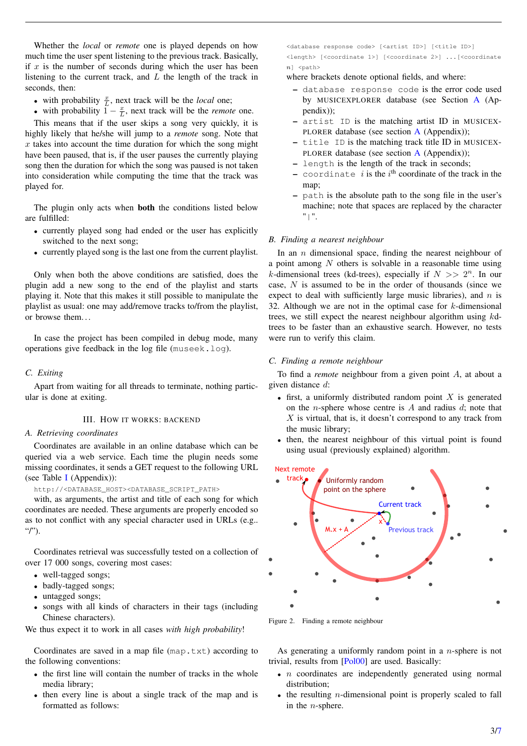Whether the *local* or *remote* one is played depends on how much time the user spent listening to the previous track. Basically, if  $x$  is the number of seconds during which the user has been listening to the current track, and  $L$  the length of the track in seconds, then:

- with probability  $\frac{x}{L}$ , next track will be the *local* one;
- with probability  $\overline{1} \frac{x}{L}$ , next track will be the *remote* one.

This means that if the user skips a song very quickly, it is highly likely that he/she will jump to a *remote* song. Note that  $x$  takes into account the time duration for which the song might have been paused, that is, if the user pauses the currently playing song then the duration for which the song was paused is not taken into consideration while computing the time that the track was played for.

The plugin only acts when both the conditions listed below are fulfilled:

- currently played song had ended or the user has explicitly switched to the next song;
- currently played song is the last one from the current playlist.

Only when both the above conditions are satisfied, does the plugin add a new song to the end of the playlist and starts playing it. Note that this makes it still possible to manipulate the playlist as usual: one may add/remove tracks to/from the playlist, or browse them. . .

In case the project has been compiled in debug mode, many operations give feedback in the log file (museek.log).

# *C. Exiting*

Apart from waiting for all threads to terminate, nothing particular is done at exiting.

#### III. HOW IT WORKS: BACKEND

# *A. Retrieving coordinates*

Coordinates are available in an online database which can be queried via a web service. Each time the plugin needs some missing coordinates, it sends a GET request to the following URL (see Table [I](#page-6-1) (Appendix)):

http://<DATABASE\_HOST><DATABASE\_SCRIPT\_PATH>

with, as arguments, the artist and title of each song for which coordinates are needed. These arguments are properly encoded so as to not conflict with any special character used in URLs (e.g.. "/").

Coordinates retrieval was successfully tested on a collection of over 17 000 songs, covering most cases:

- well-tagged songs;
- badly-tagged songs;
- untagged songs;
- songs with all kinds of characters in their tags (including Chinese characters).

We thus expect it to work in all cases *with high probability*!

Coordinates are saved in a map file  $(\text{map.txt})$  according to the following conventions:

- the first line will contain the number of tracks in the whole media library;
- then every line is about a single track of the map and is formatted as follows:

<database response code> [<artist ID>] [<title ID>] <length> [<coordinate 1>] [<coordinate 2>] ...[<coordinate  $n$ ] <path>

where brackets denote optional fields, and where:

- database response code is the error code used by MUSICEXPLORER database (see Section [A](#page-6-1) (Appendix));
- artist ID is the matching artist ID in MUSICEX-PLORER database (see section  $A$  (Appendix));
- title ID is the matching track title ID in MUSICEX-PLORER database (see section  $A$  (Appendix));
- length is the length of the track in seconds;
- coordinate  $i$  is the  $i^{\text{th}}$  coordinate of the track in the map;
- path is the absolute path to the song file in the user's machine; note that spaces are replaced by the character "|".

#### *B. Finding a nearest neighbour*

In an  $n$  dimensional space, finding the nearest neighbour of a point among  $N$  others is solvable in a reasonable time using k-dimensional trees (kd-trees), especially if  $N \gg 2^n$ . In our case,  $N$  is assumed to be in the order of thousands (since we expect to deal with sufficiently large music libraries), and  $n$  is 32. Although we are not in the optimal case for  $k$ -dimensional trees, we still expect the nearest neighbour algorithm using kdtrees to be faster than an exhaustive search. However, no tests were run to verify this claim.

#### *C. Finding a remote neighbour*

To find a *remote* neighbour from a given point A, at about a given distance d:

- first, a uniformly distributed random point  $X$  is generated on the *n*-sphere whose centre is  $A$  and radius  $d$ ; note that  $X$  is virtual, that is, it doesn't correspond to any track from the music library;
- then, the nearest neighbour of this virtual point is found using usual (previously explained) algorithm.



<span id="page-3-0"></span>Figure 2. Finding a remote neighbour

As generating a uniformly random point in a n-sphere is not trivial, results from [\[Pol00\]](#page-7-6) are used. Basically:

- $n$  coordinates are independently generated using normal distribution;
- $\bullet$  the resulting *n*-dimensional point is properly scaled to fall in the  $n$ -sphere.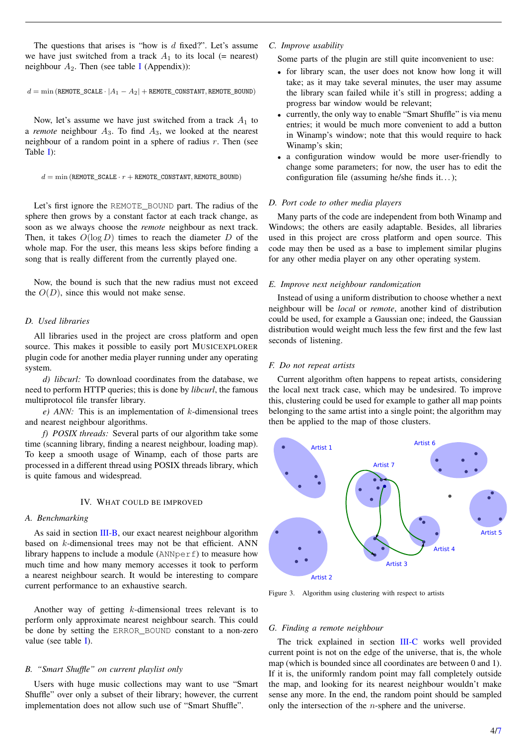The questions that arises is "how is  $d$  fixed?". Let's assume we have just switched from a track  $A_1$  to its local (= nearest) neighbour  $A_2$ . Then (see table [I](#page-6-1) (Appendix)):

 $d = min$  (REMOTE\_SCALE ·  $|A_1 - A_2|$  + REMOTE\_CONSTANT, REMOTE\_BOUND)

Now, let's assume we have just switched from a track  $A_1$  to a *remote* neighbour  $A_3$ . To find  $A_3$ , we looked at the nearest neighbour of a random point in a sphere of radius  $r$ . Then (see Table [I\)](#page-6-1):

```
d = \min (REMOTE_SCALE · r + REMOTE_CONSTANT, REMOTE_BOUND)
```
Let's first ignore the REMOTE\_BOUND part. The radius of the sphere then grows by a constant factor at each track change, as soon as we always choose the *remote* neighbour as next track. Then, it takes  $O(\log D)$  times to reach the diameter D of the whole map. For the user, this means less skips before finding a song that is really different from the currently played one.

Now, the bound is such that the new radius must not exceed the  $O(D)$ , since this would not make sense.

# *D. Used libraries*

All libraries used in the project are cross platform and open source. This makes it possible to easily port MUSICEXPLORER plugin code for another media player running under any operating system.

*d) libcurl:* To download coordinates from the database, we need to perform HTTP queries; this is done by *libcurl*, the famous multiprotocol file transfer library.

*e*) *ANN*: This is an implementation of *k*-dimensional trees and nearest neighbour algorithms.

*f) POSIX threads:* Several parts of our algorithm take some time (scanning library, finding a nearest neighbour, loading map). To keep a smooth usage of Winamp, each of those parts are processed in a different thread using POSIX threads library, which is quite famous and widespread.

## IV. WHAT COULD BE IMPROVED

## *A. Benchmarking*

As said in section [III-B,](#page-2-0) our exact nearest neighbour algorithm based on k-dimensional trees may not be that efficient. ANN library happens to include a module (ANNperf) to measure how much time and how many memory accesses it took to perform a nearest neighbour search. It would be interesting to compare current performance to an exhaustive search.

Another way of getting k-dimensional trees relevant is to perform only approximate nearest neighbour search. This could be done by setting the ERROR\_BOUND constant to a non-zero value (see table [I\)](#page-6-1).

# *B. "Smart Shuffle" on current playlist only*

Users with huge music collections may want to use "Smart Shuffle" over only a subset of their library; however, the current implementation does not allow such use of "Smart Shuffle".

- *C. Improve usability*
	- Some parts of the plugin are still quite inconvenient to use:
	- for library scan, the user does not know how long it will take; as it may take several minutes, the user may assume the library scan failed while it's still in progress; adding a progress bar window would be relevant;
	- currently, the only way to enable "Smart Shuffle" is via menu entries; it would be much more convenient to add a button in Winamp's window; note that this would require to hack Winamp's skin;
	- a configuration window would be more user-friendly to change some parameters; for now, the user has to edit the configuration file (assuming he/she finds it. . . );

## *D. Port code to other media players*

Many parts of the code are independent from both Winamp and Windows; the others are easily adaptable. Besides, all libraries used in this project are cross platform and open source. This code may then be used as a base to implement similar plugins for any other media player on any other operating system.

## *E. Improve next neighbour randomization*

Instead of using a uniform distribution to choose whether a next neighbour will be *local* or *remote*, another kind of distribution could be used, for example a Gaussian one; indeed, the Gaussian distribution would weight much less the few first and the few last seconds of listening.

## *F. Do not repeat artists*

Current algorithm often happens to repeat artists, considering the local next track case, which may be undesired. To improve this, clustering could be used for example to gather all map points belonging to the same artist into a single point; the algorithm may then be applied to the map of those clusters.



<span id="page-4-0"></span>Figure 3. Algorithm using clustering with respect to artists

## *G. Finding a remote neighbour*

The trick explained in section [III-C](#page-2-0) works well provided current point is not on the edge of the universe, that is, the whole map (which is bounded since all coordinates are between 0 and 1). If it is, the uniformly random point may fall completely outside the map, and looking for its nearest neighbour wouldn't make sense any more. In the end, the random point should be sampled only the intersection of the n-sphere and the universe.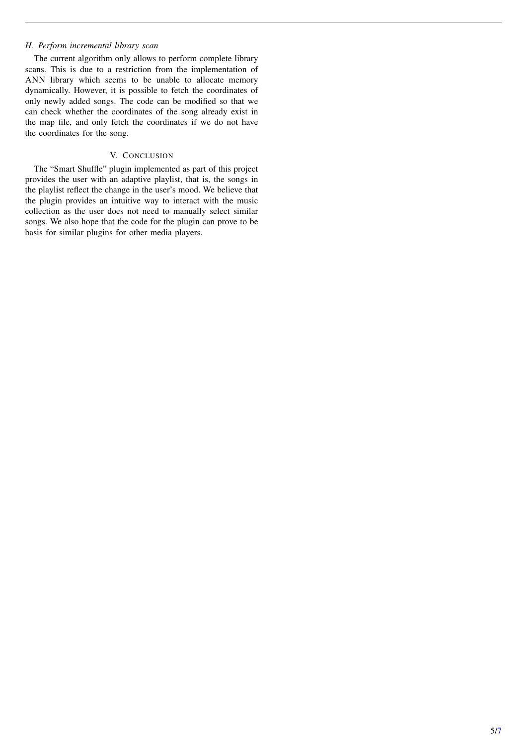# *H. Perform incremental library scan*

The current algorithm only allows to perform complete library scans. This is due to a restriction from the implementation of ANN library which seems to be unable to allocate memory dynamically. However, it is possible to fetch the coordinates of only newly added songs. The code can be modified so that we can check whether the coordinates of the song already exist in the map file, and only fetch the coordinates if we do not have the coordinates for the song.

# V. CONCLUSION

The "Smart Shuffle" plugin implemented as part of this project provides the user with an adaptive playlist, that is, the songs in the playlist reflect the change in the user's mood. We believe that the plugin provides an intuitive way to interact with the music collection as the user does not need to manually select similar songs. We also hope that the code for the plugin can prove to be basis for similar plugins for other media players.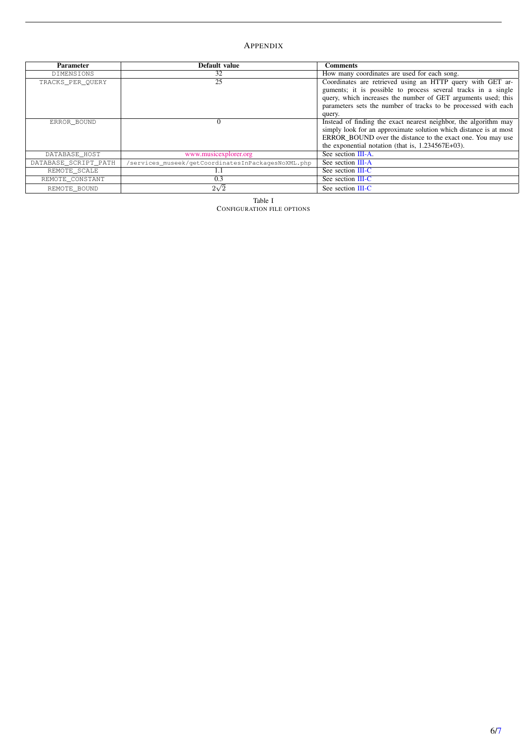# <span id="page-6-0"></span>APPENDIX

<span id="page-6-1"></span>

| <b>Parameter</b>     | Default value                                      | <b>Comments</b>                                                                                                                                                                                                                                                          |
|----------------------|----------------------------------------------------|--------------------------------------------------------------------------------------------------------------------------------------------------------------------------------------------------------------------------------------------------------------------------|
| DIMENSIONS           | 32                                                 | How many coordinates are used for each song.                                                                                                                                                                                                                             |
| TRACKS PER OUERY     | 25                                                 | Coordinates are retrieved using an HTTP query with GET ar-<br>guments; it is possible to process several tracks in a single<br>query, which increases the number of GET arguments used; this<br>parameters sets the number of tracks to be processed with each<br>query. |
| ERROR BOUND          | $\Omega$                                           | Instead of finding the exact nearest neighbor, the algorithm may<br>simply look for an approximate solution which distance is at most<br>ERROR BOUND over the distance to the exact one. You may use<br>the exponential notation (that is, $1.234567E+03$ ).             |
| DATABASE HOST        | www.musicexplorer.org                              | See section III-A.                                                                                                                                                                                                                                                       |
| DATABASE_SCRIPT_PATH | /services museek/getCoordinatesInPackagesNoXML.php | See section III-A                                                                                                                                                                                                                                                        |
| REMOTE SCALE         |                                                    | See section III-C                                                                                                                                                                                                                                                        |
| REMOTE CONSTANT      | 0.3                                                | See section III-C                                                                                                                                                                                                                                                        |
| REMOTE BOUND         | $2\sqrt{2}$                                        | See section III-C                                                                                                                                                                                                                                                        |

Table I CONFIGURATION FILE OPTIONS